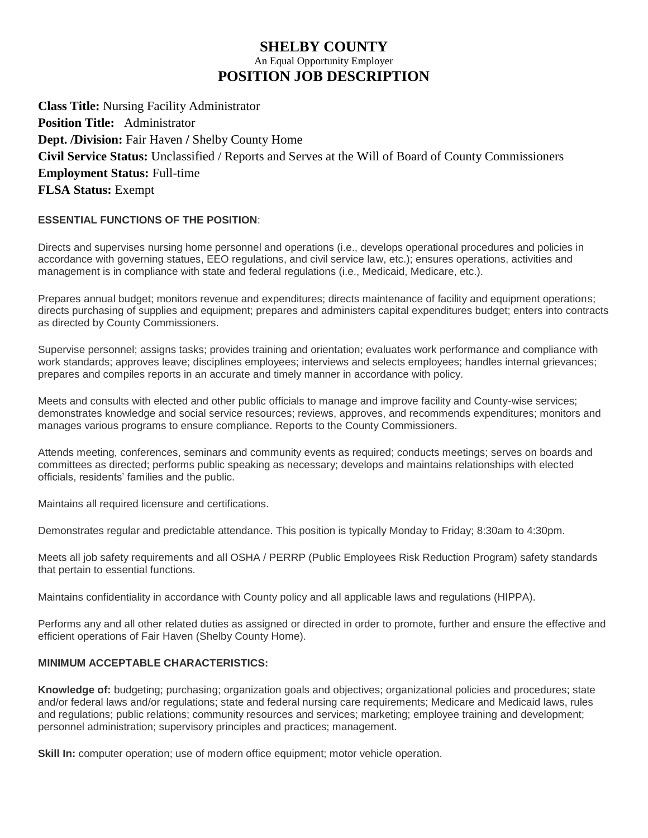## **SHELBY COUNTY** An Equal Opportunity Employer **POSITION JOB DESCRIPTION**

**Class Title:** Nursing Facility Administrator **Position Title:** Administrator **Dept. /Division:** Fair Haven **/** Shelby County Home **Civil Service Status:** Unclassified / Reports and Serves at the Will of Board of County Commissioners **Employment Status:** Full-time **FLSA Status:** Exempt

## **ESSENTIAL FUNCTIONS OF THE POSITION**:

Directs and supervises nursing home personnel and operations (i.e., develops operational procedures and policies in accordance with governing statues, EEO regulations, and civil service law, etc.); ensures operations, activities and management is in compliance with state and federal regulations (i.e., Medicaid, Medicare, etc.).

Prepares annual budget; monitors revenue and expenditures; directs maintenance of facility and equipment operations; directs purchasing of supplies and equipment; prepares and administers capital expenditures budget; enters into contracts as directed by County Commissioners.

Supervise personnel; assigns tasks; provides training and orientation; evaluates work performance and compliance with work standards; approves leave; disciplines employees; interviews and selects employees; handles internal grievances; prepares and compiles reports in an accurate and timely manner in accordance with policy.

Meets and consults with elected and other public officials to manage and improve facility and County-wise services; demonstrates knowledge and social service resources; reviews, approves, and recommends expenditures; monitors and manages various programs to ensure compliance. Reports to the County Commissioners.

Attends meeting, conferences, seminars and community events as required; conducts meetings; serves on boards and committees as directed; performs public speaking as necessary; develops and maintains relationships with elected officials, residents' families and the public.

Maintains all required licensure and certifications.

Demonstrates regular and predictable attendance. This position is typically Monday to Friday; 8:30am to 4:30pm.

Meets all job safety requirements and all OSHA / PERRP (Public Employees Risk Reduction Program) safety standards that pertain to essential functions.

Maintains confidentiality in accordance with County policy and all applicable laws and regulations (HIPPA).

Performs any and all other related duties as assigned or directed in order to promote, further and ensure the effective and efficient operations of Fair Haven (Shelby County Home).

## **MINIMUM ACCEPTABLE CHARACTERISTICS:**

**Knowledge of:** budgeting; purchasing; organization goals and objectives; organizational policies and procedures; state and/or federal laws and/or regulations; state and federal nursing care requirements; Medicare and Medicaid laws, rules and regulations; public relations; community resources and services; marketing; employee training and development; personnel administration; supervisory principles and practices; management.

**Skill In:** computer operation; use of modern office equipment; motor vehicle operation.